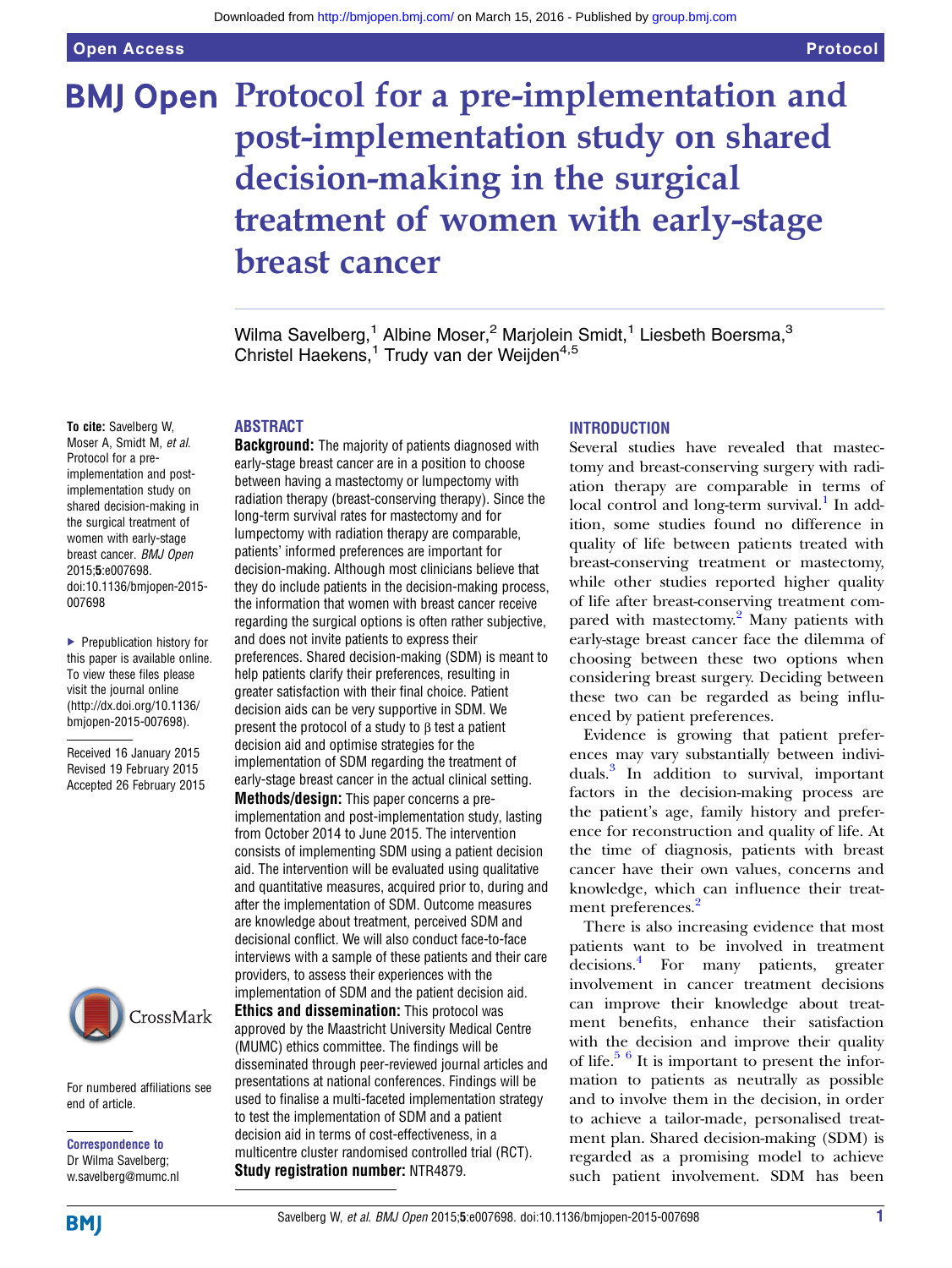# **BMJ Open Protocol for a pre-implementation and** post-implementation study on shared decision-making in the surgical treatment of women with early-stage breast cancer

Wilma Savelberg,<sup>1</sup> Albine Moser,<sup>2</sup> Marjolein Smidt,<sup>1</sup> Liesbeth Boersma,<sup>3</sup> Christel Haekens,<sup>1</sup> Trudy van der Weijden<sup>4,5</sup>

# ABSTRACT

**Background:** The majority of patients diagnosed with early-stage breast cancer are in a position to choose between having a mastectomy or lumpectomy with radiation therapy (breast-conserving therapy). Since the long-term survival rates for mastectomy and for lumpectomy with radiation therapy are comparable, patients' informed preferences are important for decision-making. Although most clinicians believe that they do include patients in the decision-making process, the information that women with breast cancer receive regarding the surgical options is often rather subjective, and does not invite patients to express their preferences. Shared decision-making (SDM) is meant to help patients clarify their preferences, resulting in greater satisfaction with their final choice. Patient decision aids can be very supportive in SDM. We present the protocol of a study to β test a patient decision aid and optimise strategies for the implementation of SDM regarding the treatment of early-stage breast cancer in the actual clinical setting.

Methods/design: This paper concerns a preimplementation and post-implementation study, lasting from October 2014 to June 2015. The intervention consists of implementing SDM using a patient decision aid. The intervention will be evaluated using qualitative and quantitative measures, acquired prior to, during and after the implementation of SDM. Outcome measures are knowledge about treatment, perceived SDM and decisional conflict. We will also conduct face-to-face interviews with a sample of these patients and their care providers, to assess their experiences with the implementation of SDM and the patient decision aid. Ethics and dissemination: This protocol was approved by the Maastricht University Medical Centre (MUMC) ethics committee. The findings will be

disseminated through peer-reviewed journal articles and presentations at national conferences. Findings will be used to finalise a multi-faceted implementation strategy to test the implementation of SDM and a patient decision aid in terms of cost-effectiveness, in a multicentre cluster randomised controlled trial (RCT). Study registration number: NTR4879.

# **INTRODUCTION**

Several studies have revealed that mastectomy and breast-conserving surgery with radiation therapy are comparable in terms of local control and long-term survival.<sup>[1](#page-5-0)</sup> In addition, some studies found no difference in quality of life between patients treated with breast-conserving treatment or mastectomy, while other studies reported higher quality of life after breast-conserving treatment com-pared with mastectomy.<sup>[2](#page-5-0)</sup> Many patients with early-stage breast cancer face the dilemma of choosing between these two options when considering breast surgery. Deciding between these two can be regarded as being influenced by patient preferences.

Evidence is growing that patient preferences may vary substantially between individuals.[3](#page-5-0) In addition to survival, important factors in the decision-making process are the patient's age, family history and preference for reconstruction and quality of life. At the time of diagnosis, patients with breast cancer have their own values, concerns and knowledge, which can influence their treat-ment preferences.<sup>[2](#page-5-0)</sup>

There is also increasing evidence that most patients want to be involved in treatment decisions.<sup>[4](#page-5-0)</sup> For many patients, greater involvement in cancer treatment decisions can improve their knowledge about treatment benefits, enhance their satisfaction with the decision and improve their quality of life. $5\frac{6}{1}$  It is important to present the information to patients as neutrally as possible and to involve them in the decision, in order to achieve a tailor-made, personalised treatment plan. Shared decision-making (SDM) is regarded as a promising model to achieve such patient involvement. SDM has been

Moser A, Smidt M, et al. Protocol for a preimplementation and postimplementation study on shared decision-making in the surgical treatment of women with early-stage breast cancer. BMJ Open 2015;5:e007698. doi:10.1136/bmjopen-2015- 007698

To cite: Savelberg W,

▶ Prepublication history for this paper is available online. To view these files please visit the journal online [\(http://dx.doi.org/10.1136/](http://dx.doi.org/10.1136/bmjopen-2015-007698) [bmjopen-2015-007698](http://dx.doi.org/10.1136/bmjopen-2015-007698)).

Received 16 January 2015 Revised 19 February 2015 Accepted 26 February 2015



For numbered affiliations see end of article.

Correspondence to Dr Wilma Savelberg; w.savelberg@mumc.nl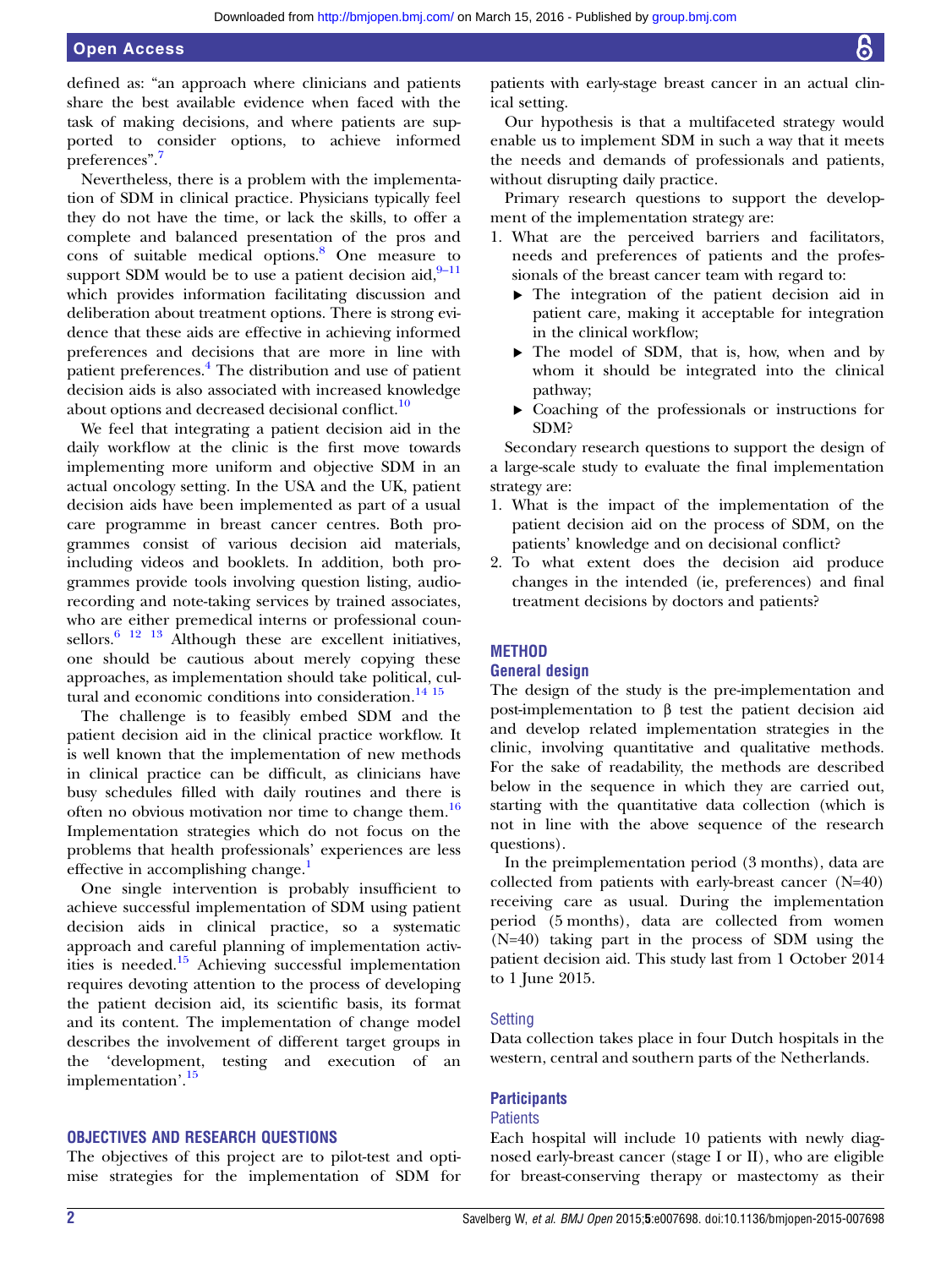defined as: "an approach where clinicians and patients share the best available evidence when faced with the task of making decisions, and where patients are supported to consider options, to achieve informed preferences".<sup>[7](#page-5-0)</sup>

Nevertheless, there is a problem with the implementation of SDM in clinical practice. Physicians typically feel they do not have the time, or lack the skills, to offer a complete and balanced presentation of the pros and cons of suitable medical options.[8](#page-5-0) One measure to support SDM would be to use a patient decision aid,  $9-11$  $9-11$ which provides information facilitating discussion and deliberation about treatment options. There is strong evidence that these aids are effective in achieving informed preferences and decisions that are more in line with patient preferences.<sup>4</sup> The distribution and use of patient decision aids is also associated with increased knowledge about options and decreased decisional conflict.<sup>[10](#page-5-0)</sup>

We feel that integrating a patient decision aid in the daily workflow at the clinic is the first move towards implementing more uniform and objective SDM in an actual oncology setting. In the USA and the UK, patient decision aids have been implemented as part of a usual care programme in breast cancer centres. Both programmes consist of various decision aid materials, including videos and booklets. In addition, both programmes provide tools involving question listing, audiorecording and note-taking services by trained associates, who are either premedical interns or professional counsellors. $6^{12}$  13 Although these are excellent initiatives, one should be cautious about merely copying these approaches, as implementation should take political, cul-tural and economic conditions into consideration.<sup>[14 15](#page-5-0)</sup>

The challenge is to feasibly embed SDM and the patient decision aid in the clinical practice workflow. It is well known that the implementation of new methods in clinical practice can be difficult, as clinicians have busy schedules filled with daily routines and there is often no obvious motivation nor time to change them.<sup>[16](#page-5-0)</sup> Implementation strategies which do not focus on the problems that health professionals' experiences are less effective in accomplishing change.<sup>[1](#page-5-0)</sup>

One single intervention is probably insufficient to achieve successful implementation of SDM using patient decision aids in clinical practice, so a systematic approach and careful planning of implementation activ-ities is needed.<sup>[15](#page-5-0)</sup> Achieving successful implementation requires devoting attention to the process of developing the patient decision aid, its scientific basis, its format and its content. The implementation of change model describes the involvement of different target groups in the 'development, testing and execution of an implementation'. [15](#page-5-0)

# OBJECTIVES AND RESEARCH QUESTIONS

The objectives of this project are to pilot-test and optimise strategies for the implementation of SDM for

patients with early-stage breast cancer in an actual clinical setting.

Our hypothesis is that a multifaceted strategy would enable us to implement SDM in such a way that it meets the needs and demands of professionals and patients, without disrupting daily practice.

Primary research questions to support the development of the implementation strategy are:

- 1. What are the perceived barriers and facilitators, needs and preferences of patients and the professionals of the breast cancer team with regard to:
	- ▸ The integration of the patient decision aid in patient care, making it acceptable for integration in the clinical workflow;
	- ▸ The model of SDM, that is, how, when and by whom it should be integrated into the clinical pathway;
	- ▸ Coaching of the professionals or instructions for SDM?

Secondary research questions to support the design of a large-scale study to evaluate the final implementation strategy are:

- 1. What is the impact of the implementation of the patient decision aid on the process of SDM, on the patients' knowledge and on decisional conflict?
- 2. To what extent does the decision aid produce changes in the intended (ie, preferences) and final treatment decisions by doctors and patients?

# **METHOD**

## General design

The design of the study is the pre-implementation and post-implementation to β test the patient decision aid and develop related implementation strategies in the clinic, involving quantitative and qualitative methods. For the sake of readability, the methods are described below in the sequence in which they are carried out, starting with the quantitative data collection (which is not in line with the above sequence of the research questions).

In the preimplementation period (3 months), data are collected from patients with early-breast cancer (N=40) receiving care as usual. During the implementation period (5 months), data are collected from women (N=40) taking part in the process of SDM using the patient decision aid. This study last from 1 October 2014 to 1 June 2015.

## **Setting**

Data collection takes place in four Dutch hospitals in the western, central and southern parts of the Netherlands.

# **Participants**

# **Patients**

Each hospital will include 10 patients with newly diagnosed early-breast cancer (stage I or II), who are eligible for breast-conserving therapy or mastectomy as their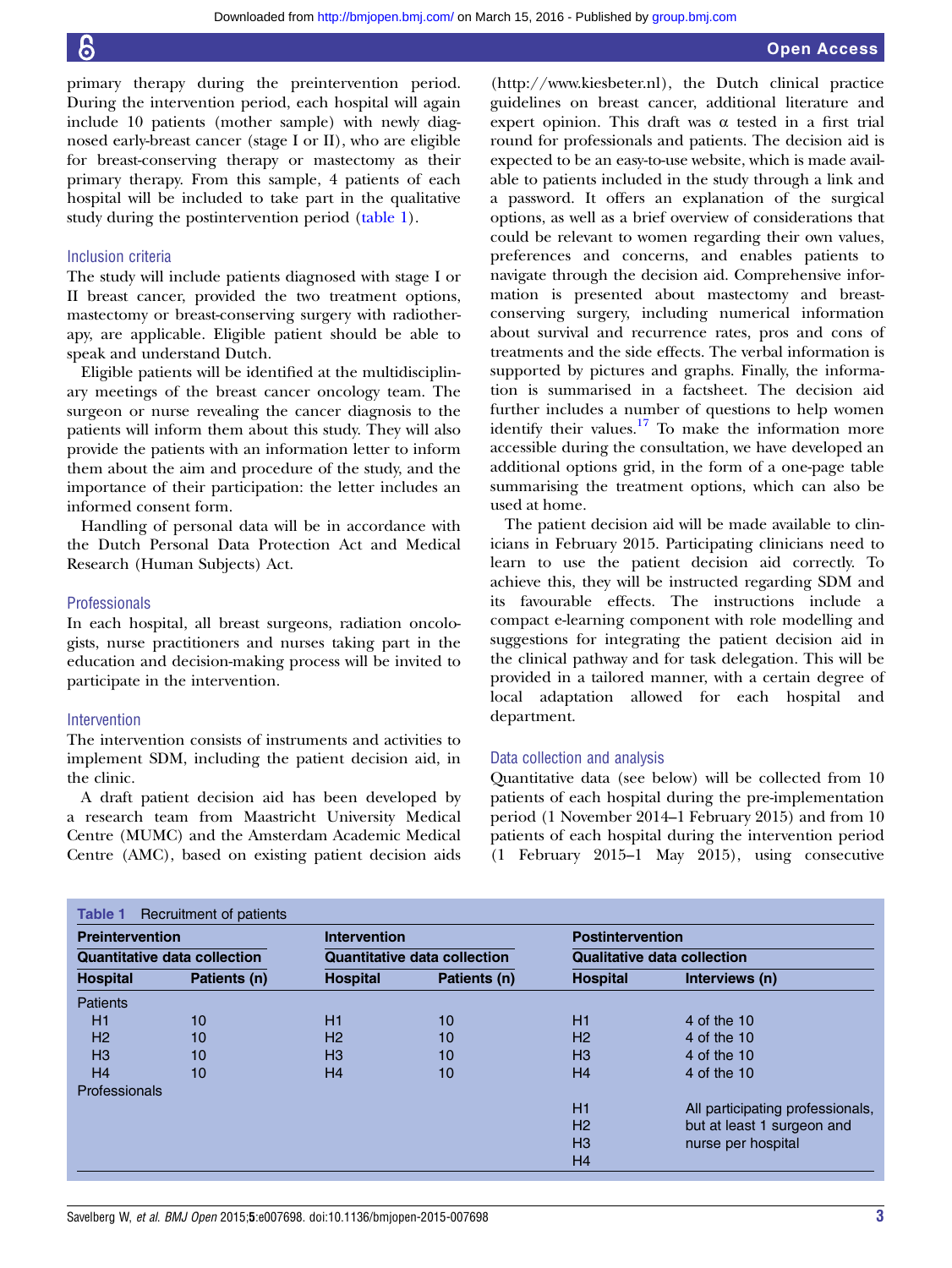primary therapy during the preintervention period. During the intervention period, each hospital will again include 10 patients (mother sample) with newly diagnosed early-breast cancer (stage I or II), who are eligible for breast-conserving therapy or mastectomy as their primary therapy. From this sample, 4 patients of each hospital will be included to take part in the qualitative study during the postintervention period (table 1).

## Inclusion criteria

The study will include patients diagnosed with stage I or II breast cancer, provided the two treatment options, mastectomy or breast-conserving surgery with radiotherapy, are applicable. Eligible patient should be able to speak and understand Dutch.

Eligible patients will be identified at the multidisciplinary meetings of the breast cancer oncology team. The surgeon or nurse revealing the cancer diagnosis to the patients will inform them about this study. They will also provide the patients with an information letter to inform them about the aim and procedure of the study, and the importance of their participation: the letter includes an informed consent form.

Handling of personal data will be in accordance with the Dutch Personal Data Protection Act and Medical Research (Human Subjects) Act.

#### Professionals

In each hospital, all breast surgeons, radiation oncologists, nurse practitioners and nurses taking part in the education and decision-making process will be invited to participate in the intervention.

# Intervention

The intervention consists of instruments and activities to implement SDM, including the patient decision aid, in the clinic.

A draft patient decision aid has been developed by a research team from Maastricht University Medical Centre (MUMC) and the Amsterdam Academic Medical Centre (AMC), based on existing patient decision aids

[\(http://www.kiesbeter.nl](http://www.kiesbeter.nl)), the Dutch clinical practice guidelines on breast cancer, additional literature and expert opinion. This draft was  $\alpha$  tested in a first trial round for professionals and patients. The decision aid is expected to be an easy-to-use website, which is made available to patients included in the study through a link and a password. It offers an explanation of the surgical options, as well as a brief overview of considerations that could be relevant to women regarding their own values, preferences and concerns, and enables patients to navigate through the decision aid. Comprehensive information is presented about mastectomy and breastconserving surgery, including numerical information about survival and recurrence rates, pros and cons of treatments and the side effects. The verbal information is supported by pictures and graphs. Finally, the information is summarised in a factsheet. The decision aid further includes a number of questions to help women identify their values. $17$  To make the information more accessible during the consultation, we have developed an additional options grid, in the form of a one-page table summarising the treatment options, which can also be used at home.

The patient decision aid will be made available to clinicians in February 2015. Participating clinicians need to learn to use the patient decision aid correctly. To achieve this, they will be instructed regarding SDM and its favourable effects. The instructions include a compact e-learning component with role modelling and suggestions for integrating the patient decision aid in the clinical pathway and for task delegation. This will be provided in a tailored manner, with a certain degree of local adaptation allowed for each hospital and department.

## Data collection and analysis

Quantitative data (see below) will be collected from 10 patients of each hospital during the pre-implementation period (1 November 2014–1 February 2015) and from 10 patients of each hospital during the intervention period (1 February 2015–1 May 2015), using consecutive

| <b>Preintervention</b><br><b>Quantitative data collection</b> |    | <b>Intervention</b><br><b>Quantitative data collection</b> |    | <b>Postintervention</b><br><b>Qualitative data collection</b> |                                  |  |
|---------------------------------------------------------------|----|------------------------------------------------------------|----|---------------------------------------------------------------|----------------------------------|--|
|                                                               |    |                                                            |    |                                                               |                                  |  |
| <b>Patients</b>                                               |    |                                                            |    |                                                               |                                  |  |
| H1                                                            | 10 | H1                                                         | 10 | H1                                                            | 4 of the 10                      |  |
| H <sub>2</sub>                                                | 10 | H <sub>2</sub>                                             | 10 | H <sub>2</sub>                                                | 4 of the 10                      |  |
| H <sub>3</sub>                                                | 10 | $H_3$                                                      | 10 | H <sub>3</sub>                                                | 4 of the 10                      |  |
| H <sub>4</sub>                                                | 10 | H <sub>4</sub>                                             | 10 | H <sub>4</sub>                                                | 4 of the 10                      |  |
| <b>Professionals</b>                                          |    |                                                            |    |                                                               |                                  |  |
|                                                               |    |                                                            |    | H1                                                            | All participating professionals, |  |
|                                                               |    |                                                            |    | H <sub>2</sub>                                                | but at least 1 surgeon and       |  |
|                                                               |    |                                                            |    | H <sub>3</sub>                                                | nurse per hospital               |  |
|                                                               |    |                                                            |    | H4                                                            |                                  |  |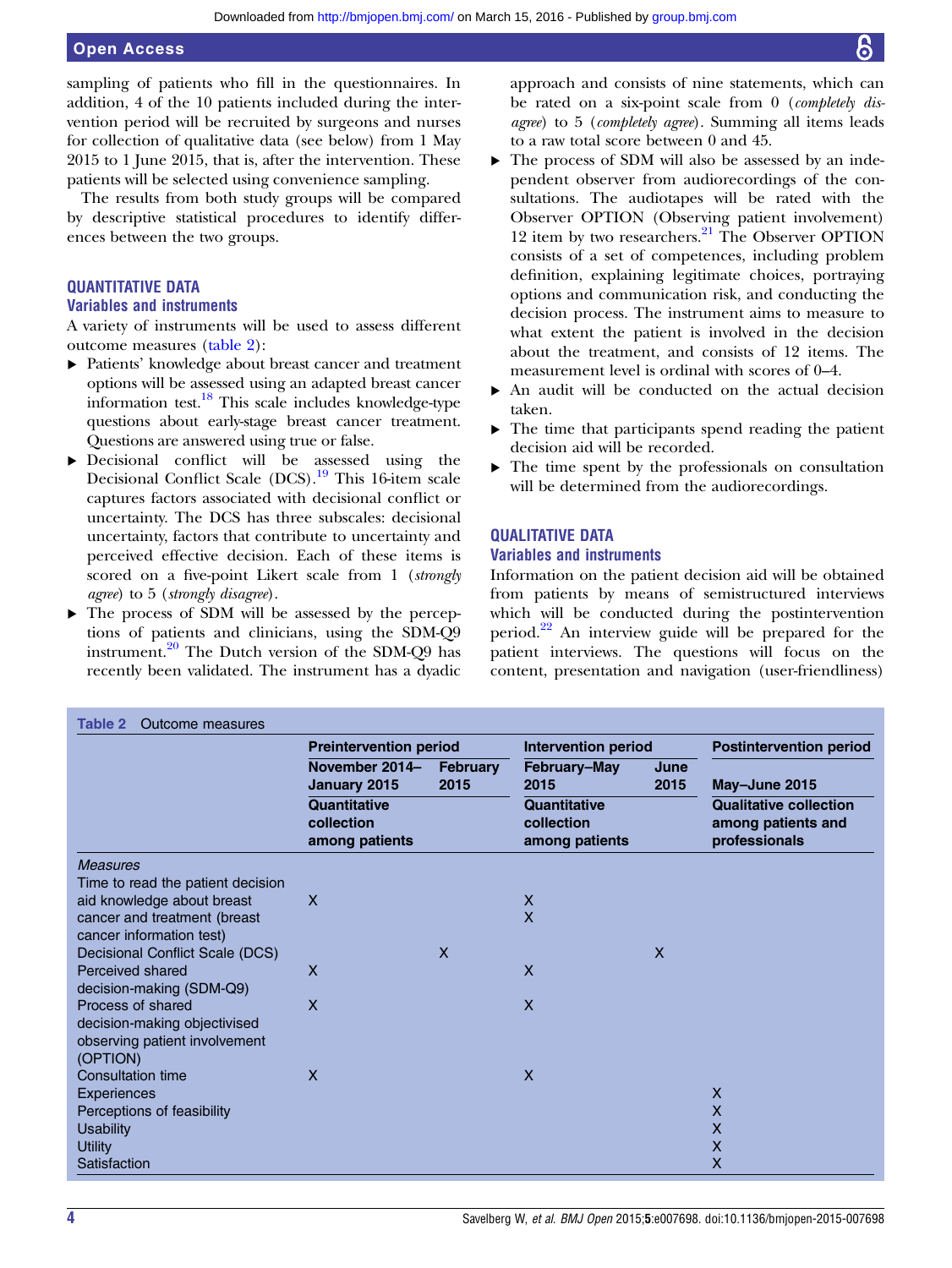# Open Access

sampling of patients who fill in the questionnaires. In addition, 4 of the 10 patients included during the intervention period will be recruited by surgeons and nurses for collection of qualitative data (see below) from 1 May 2015 to 1 June 2015, that is, after the intervention. These patients will be selected using convenience sampling.

The results from both study groups will be compared by descriptive statistical procedures to identify differences between the two groups.

# QUANTITATIVE DATA

# Variables and instruments

A variety of instruments will be used to assess different outcome measures (table 2):

- ▸ Patients' knowledge about breast cancer and treatment options will be assessed using an adapted breast cancer information test.<sup>[18](#page-5-0)</sup> This scale includes knowledge-type questions about early-stage breast cancer treatment. Questions are answered using true or false.
- ▸ Decisional conflict will be assessed using the Decisional Conflict Scale (DCS).[19](#page-5-0) This 16-item scale captures factors associated with decisional conflict or uncertainty. The DCS has three subscales: decisional uncertainty, factors that contribute to uncertainty and perceived effective decision. Each of these items is scored on a five-point Likert scale from 1 (strongly agree) to 5 (strongly disagree).
- ▸ The process of SDM will be assessed by the perceptions of patients and clinicians, using the SDM-Q9 instrument.<sup>[20](#page-5-0)</sup> The Dutch version of the SDM-Q9 has recently been validated. The instrument has a dyadic

approach and consists of nine statements, which can be rated on a six-point scale from 0 (completely disagree) to 5 (completely agree). Summing all items leads to a raw total score between 0 and 45.

- ▸ The process of SDM will also be assessed by an independent observer from audiorecordings of the consultations. The audiotapes will be rated with the Observer OPTION (Observing patient involvement) 12 item by two researchers. $^{21}$  $^{21}$  $^{21}$  The Observer OPTION consists of a set of competences, including problem definition, explaining legitimate choices, portraying options and communication risk, and conducting the decision process. The instrument aims to measure to what extent the patient is involved in the decision about the treatment, and consists of 12 items. The measurement level is ordinal with scores of 0–4.
- An audit will be conducted on the actual decision taken.
- $\blacktriangleright$  The time that participants spend reading the patient decision aid will be recorded.
- ▸ The time spent by the professionals on consultation will be determined from the audiorecordings.

# QUALITATIVE DATA

# Variables and instruments

Information on the patient decision aid will be obtained from patients by means of semistructured interviews which will be conducted during the postintervention period. $22$  An interview guide will be prepared for the patient interviews. The questions will focus on the content, presentation and navigation (user-friendliness)

|                                                                                                | <b>Preintervention period</b>                       |                         | <b>Intervention period</b>                                                  |              | <b>Postintervention period</b>                                                        |
|------------------------------------------------------------------------------------------------|-----------------------------------------------------|-------------------------|-----------------------------------------------------------------------------|--------------|---------------------------------------------------------------------------------------|
|                                                                                                | November 2014-<br>January 2015                      | <b>February</b><br>2015 | February-May<br>2015<br><b>Quantitative</b><br>collection<br>among patients | June<br>2015 | May-June 2015<br><b>Qualitative collection</b><br>among patients and<br>professionals |
|                                                                                                | <b>Quantitative</b><br>collection<br>among patients |                         |                                                                             |              |                                                                                       |
| <b>Measures</b>                                                                                |                                                     |                         |                                                                             |              |                                                                                       |
| Time to read the patient decision                                                              |                                                     |                         |                                                                             |              |                                                                                       |
| aid knowledge about breast                                                                     | X                                                   |                         | X                                                                           |              |                                                                                       |
| cancer and treatment (breast<br>cancer information test)                                       |                                                     |                         | $\overline{\mathsf{X}}$                                                     |              |                                                                                       |
| <b>Decisional Conflict Scale (DCS)</b>                                                         |                                                     | X                       |                                                                             | X            |                                                                                       |
| Perceived shared<br>decision-making (SDM-Q9)                                                   | X                                                   |                         | $\mathsf{X}$                                                                |              |                                                                                       |
| Process of shared<br>decision-making objectivised<br>observing patient involvement<br>(OPTION) | $\boldsymbol{\mathsf{X}}$                           |                         | X                                                                           |              |                                                                                       |
| <b>Consultation time</b>                                                                       | $\boldsymbol{\mathsf{X}}$                           |                         | X                                                                           |              |                                                                                       |
| Experiences                                                                                    |                                                     |                         |                                                                             |              | $\mathsf{X}$                                                                          |
| Perceptions of feasibility                                                                     |                                                     |                         |                                                                             |              | X                                                                                     |
| <b>Usability</b>                                                                               |                                                     |                         |                                                                             |              | X                                                                                     |
| Utility                                                                                        |                                                     |                         |                                                                             |              | X                                                                                     |
| Satisfaction                                                                                   |                                                     |                         |                                                                             |              | X                                                                                     |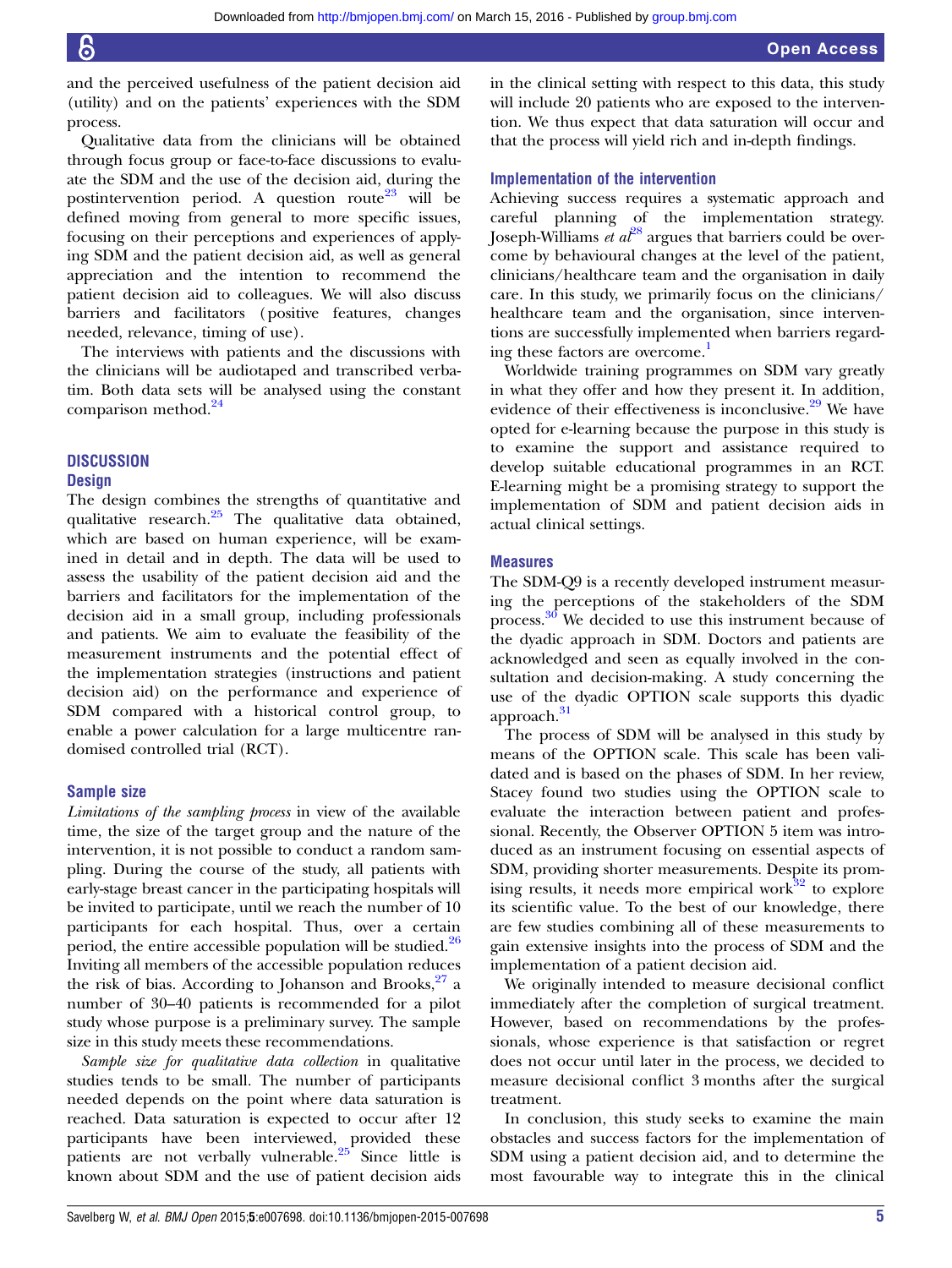and the perceived usefulness of the patient decision aid (utility) and on the patients' experiences with the SDM process.

Qualitative data from the clinicians will be obtained through focus group or face-to-face discussions to evaluate the SDM and the use of the decision aid, during the postintervention period. A question route<sup>[23](#page-5-0)</sup> will be defined moving from general to more specific issues, focusing on their perceptions and experiences of applying SDM and the patient decision aid, as well as general appreciation and the intention to recommend the patient decision aid to colleagues. We will also discuss barriers and facilitators (positive features, changes needed, relevance, timing of use).

The interviews with patients and the discussions with the clinicians will be audiotaped and transcribed verbatim. Both data sets will be analysed using the constant comparison method.<sup>[24](#page-5-0)</sup>

# **DISCUSSION**

## **Design**

The design combines the strengths of quantitative and qualitative research.<sup>[25](#page-5-0)</sup> The qualitative data obtained, which are based on human experience, will be examined in detail and in depth. The data will be used to assess the usability of the patient decision aid and the barriers and facilitators for the implementation of the decision aid in a small group, including professionals and patients. We aim to evaluate the feasibility of the measurement instruments and the potential effect of the implementation strategies (instructions and patient decision aid) on the performance and experience of SDM compared with a historical control group, to enable a power calculation for a large multicentre randomised controlled trial (RCT).

#### Sample size

Limitations of the sampling process in view of the available time, the size of the target group and the nature of the intervention, it is not possible to conduct a random sampling. During the course of the study, all patients with early-stage breast cancer in the participating hospitals will be invited to participate, until we reach the number of 10 participants for each hospital. Thus, over a certain period, the entire accessible population will be studied. $26$ Inviting all members of the accessible population reduces the risk of bias. According to Johanson and Brooks, $27$  a number of 30–40 patients is recommended for a pilot study whose purpose is a preliminary survey. The sample size in this study meets these recommendations.

Sample size for qualitative data collection in qualitative studies tends to be small. The number of participants needed depends on the point where data saturation is reached. Data saturation is expected to occur after 12 participants have been interviewed, provided these patients are not verbally vulnerable. $25$  Since little is known about SDM and the use of patient decision aids

in the clinical setting with respect to this data, this study will include 20 patients who are exposed to the intervention. We thus expect that data saturation will occur and that the process will yield rich and in-depth findings.

# Implementation of the intervention

Achieving success requires a systematic approach and careful planning of the implementation strategy. Joseph-Williams et  $a<sup>28</sup>$  $a<sup>28</sup>$  $a<sup>28</sup>$  argues that barriers could be overcome by behavioural changes at the level of the patient, clinicians/healthcare team and the organisation in daily care. In this study, we primarily focus on the clinicians/ healthcare team and the organisation, since interventions are successfully implemented when barriers regarding these factors are overcome.<sup>1</sup>

Worldwide training programmes on SDM vary greatly in what they offer and how they present it. In addition, evidence of their effectiveness is inconclusive.<sup>29</sup> We have opted for e-learning because the purpose in this study is to examine the support and assistance required to develop suitable educational programmes in an RCT. E-learning might be a promising strategy to support the implementation of SDM and patient decision aids in actual clinical settings.

## **Measures**

The SDM-Q9 is a recently developed instrument measuring the perceptions of the stakeholders of the SDM process.[30](#page-5-0) We decided to use this instrument because of the dyadic approach in SDM. Doctors and patients are acknowledged and seen as equally involved in the consultation and decision-making. A study concerning the use of the dyadic OPTION scale supports this dyadic approach.<sup>[31](#page-5-0)</sup>

The process of SDM will be analysed in this study by means of the OPTION scale. This scale has been validated and is based on the phases of SDM. In her review, Stacey found two studies using the OPTION scale to evaluate the interaction between patient and professional. Recently, the Observer OPTION 5 item was introduced as an instrument focusing on essential aspects of SDM, providing shorter measurements. Despite its promising results, it needs more empirical work $32$  to explore its scientific value. To the best of our knowledge, there are few studies combining all of these measurements to gain extensive insights into the process of SDM and the implementation of a patient decision aid.

We originally intended to measure decisional conflict immediately after the completion of surgical treatment. However, based on recommendations by the professionals, whose experience is that satisfaction or regret does not occur until later in the process, we decided to measure decisional conflict 3 months after the surgical treatment.

In conclusion, this study seeks to examine the main obstacles and success factors for the implementation of SDM using a patient decision aid, and to determine the most favourable way to integrate this in the clinical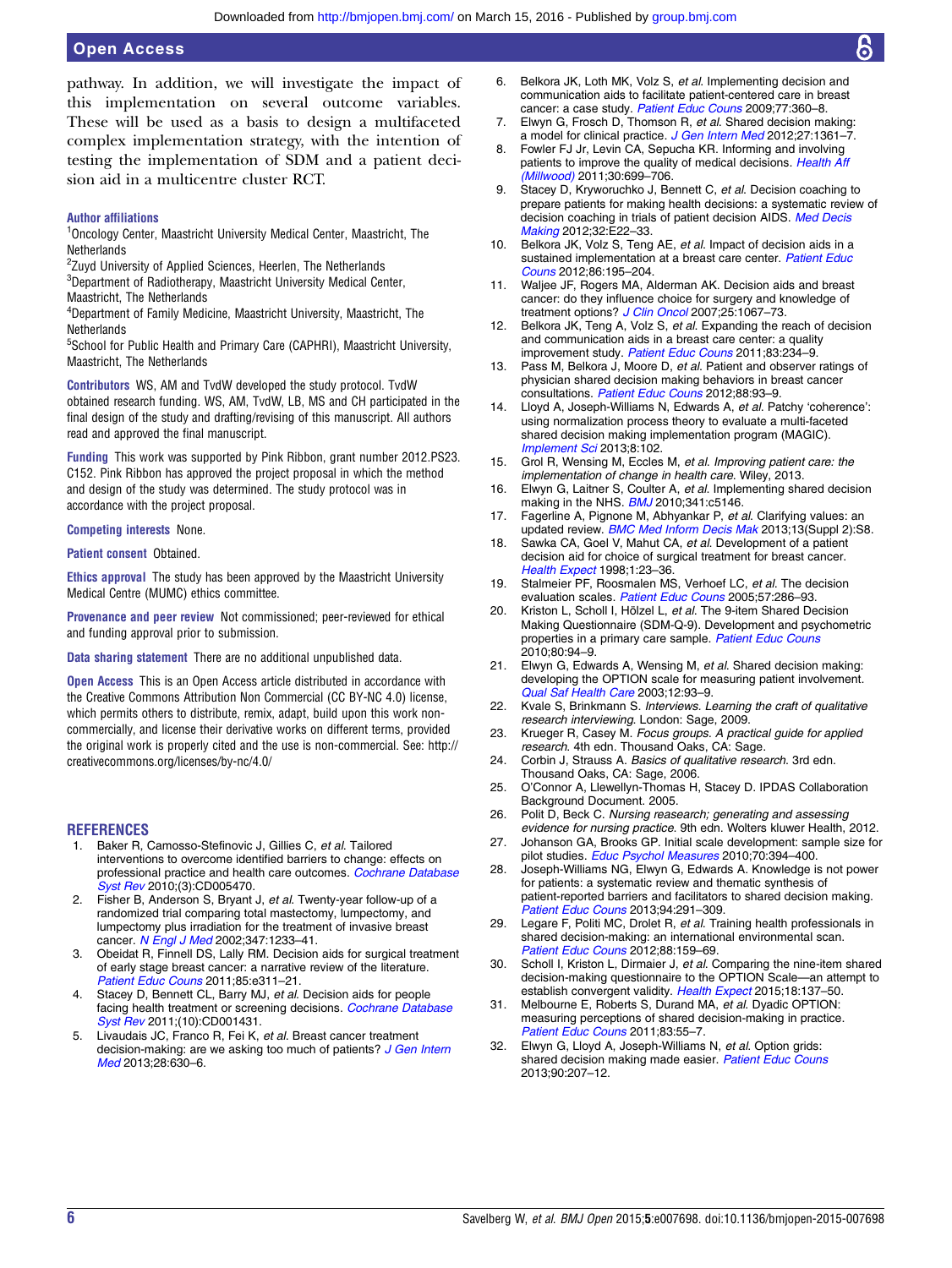<span id="page-5-0"></span>pathway. In addition, we will investigate the impact of this implementation on several outcome variables. These will be used as a basis to design a multifaceted complex implementation strategy, with the intention of testing the implementation of SDM and a patient decision aid in a multicentre cluster RCT.

## Author affiliations

### <sup>1</sup>Oncology Center, Maastricht University Medical Center, Maastricht, The **Netherlands**

<sup>2</sup>Zuyd University of Applied Sciences, Heerlen, The Netherlands

<sup>3</sup>Department of Radiotherapy, Maastricht University Medical Center,

Maastricht, The Netherlands

4 Department of Family Medicine, Maastricht University, Maastricht, The **Netherlands** 

<sup>5</sup>School for Public Health and Primary Care (CAPHRI), Maastricht University, Maastricht, The Netherlands

Contributors WS, AM and TvdW developed the study protocol. TvdW obtained research funding. WS, AM, TvdW, LB, MS and CH participated in the final design of the study and drafting/revising of this manuscript. All authors read and approved the final manuscript.

Funding This work was supported by Pink Ribbon, grant number 2012.PS23. C152. Pink Ribbon has approved the project proposal in which the method and design of the study was determined. The study protocol was in accordance with the project proposal.

Competing interests None.

#### Patient consent Obtained.

Ethics approval The study has been approved by the Maastricht University Medical Centre (MUMC) ethics committee.

Provenance and peer review Not commissioned; peer-reviewed for ethical and funding approval prior to submission.

Data sharing statement There are no additional unpublished data.

Open Access This is an Open Access article distributed in accordance with the Creative Commons Attribution Non Commercial (CC BY-NC 4.0) license, which permits others to distribute, remix, adapt, build upon this work noncommercially, and license their derivative works on different terms, provided the original work is properly cited and the use is non-commercial. See: [http://](http://creativecommons.org/licenses/by-nc/4.0/) [creativecommons.org/licenses/by-nc/4.0/](http://creativecommons.org/licenses/by-nc/4.0/)

#### **REFERENCES**

- 1. Baker R, Camosso-Stefinovic J, Gillies C, et al. Tailored interventions to overcome identified barriers to change: effects on professional practice and health care outcomes. [Cochrane Database](http://dx.doi.org/10.1002/14651858.CD005470.pub2) [Syst Rev](http://dx.doi.org/10.1002/14651858.CD005470.pub2) 2010;(3):CD005470.
- 2. Fisher B, Anderson S, Bryant J, et al. Twenty-year follow-up of a randomized trial comparing total mastectomy, lumpectomy, and lumpectomy plus irradiation for the treatment of invasive breast cancer. [N Engl J Med](http://dx.doi.org/10.1056/NEJMoa022152) 2002;347:1233-41.
- 3. Obeidat R, Finnell DS, Lally RM. Decision aids for surgical treatment of early stage breast cancer: a narrative review of the literature. [Patient Educ Couns](http://dx.doi.org/10.1016/j.pec.2011.03.019) 2011;85:e311–21.
- 4. Stacey D, Bennett CL, Barry MJ, et al. Decision aids for people facing health treatment or screening decisions. [Cochrane Database](http://dx.doi.org/10.1002/14651858.CD001431.pub3) [Syst Rev](http://dx.doi.org/10.1002/14651858.CD001431.pub3) 2011;(10):CD001431.
- 5. Livaudais JC, Franco R, Fei K, et al. Breast cancer treatment decision-making: are we asking too much of patients? [J Gen Intern](http://dx.doi.org/10.1007/s11606-012-2274-3) [Med](http://dx.doi.org/10.1007/s11606-012-2274-3) 2013:28:630-6.
- 6. Belkora JK, Loth MK, Volz S, et al. Implementing decision and communication aids to facilitate patient-centered care in breast cancer: a case study. [Patient Educ Couns](http://dx.doi.org/10.1016/j.pec.2009.09.012) 2009;77:360-8.
- 7. Elwyn G, Frosch D, Thomson R, et al. Shared decision making: a model for clinical practice. [J Gen Intern Med](http://dx.doi.org/10.1007/s11606-012-2077-6) 2012;27:1361-7.
- Fowler FJ Jr, Levin CA, Sepucha KR. Informing and involving patients to improve the quality of medical decisions. [Health Aff](http://dx.doi.org/10.1377/hlthaff.2011.0003) [\(Millwood\)](http://dx.doi.org/10.1377/hlthaff.2011.0003) 2011;30:699–706.
- 9. Stacey D, Kryworuchko J, Bennett C, et al. Decision coaching to prepare patients for making health decisions: a systematic review of decision coaching in trials of patient decision AIDS. [Med Decis](http://dx.doi.org/10.1177/0272989X12443311) [Making](http://dx.doi.org/10.1177/0272989X12443311) 2012;32:E22–33.
- 10. Belkora JK, Volz S, Teng AE, et al. Impact of decision aids in a sustained implementation at a breast care center. [Patient Educ](http://dx.doi.org/10.1016/j.pec.2011.05.011) [Couns](http://dx.doi.org/10.1016/j.pec.2011.05.011) 2012;86:195–204.
- 11. Waljee JF, Rogers MA, Alderman AK. Decision aids and breast cancer: do they influence choice for surgery and knowledge of treatment options? [J Clin Oncol](http://dx.doi.org/10.1200/JCO.2006.08.5472) 2007;25:1067-73.
- 12. Belkora JK, Teng A, Volz S, et al. Expanding the reach of decision and communication aids in a breast care center: a quality improvement study. [Patient Educ Couns](http://dx.doi.org/10.1016/j.pec.2010.07.003) 2011;83:234-9.
- 13. Pass M, Belkora J, Moore D, et al. Patient and observer ratings of physician shared decision making behaviors in breast cancer consultations. [Patient Educ Couns](http://dx.doi.org/10.1016/j.pec.2012.01.008) 2012:88:93-9.
- 14. Lloyd A, Joseph-Williams N, Edwards A, et al. Patchy 'coherence': using normalization process theory to evaluate a multi-faceted shared decision making implementation program (MAGIC). [Implement Sci](http://dx.doi.org/10.1186/1748-5908-8-102) 2013;8:102.
- 15. Grol R, Wensing M, Eccles M, et al. Improving patient care: the implementation of change in health care. Wiley, 2013.
- 16. Elwyn G, Laitner S, Coulter A, et al. Implementing shared decision making in the NHS. **[BMJ](http://dx.doi.org/10.1136/bmj.c5146)** 2010;341:c5146.
- 17. Fagerline A, Pignone M, Abhyankar P, et al. Clarifying values: an updated review. *[BMC Med Inform Decis Mak](http://dx.doi.org/10.1186/1472-6947-13-S2-S8)* 2013;13(Suppl 2):S8.
- 18. Sawka CA, Goel V, Mahut CA, et al. Development of a patient decision aid for choice of surgical treatment for breast cancer. [Health Expect](http://dx.doi.org/10.1046/j.1369-6513.1998.00003.x) 1998;1:23–36.
- 19. Stalmeier PF, Roosmalen MS, Verhoef LC, et al. The decision evaluation scales. [Patient Educ Couns](http://dx.doi.org/10.1016/j.pec.2004.07.010) 2005;57:286-93.
- 20. Kriston L, Scholl I, Hölzel L, et al. The 9-item Shared Decision Making Questionnaire (SDM-Q-9). Development and psychometric properties in a primary care sample. [Patient Educ Couns](http://dx.doi.org/10.1016/j.pec.2009.09.034) 2010;80:94–9.
- 21. Elwyn G, Edwards A, Wensing M, et al. Shared decision making: developing the OPTION scale for measuring patient involvement. [Qual Saf Health Care](http://dx.doi.org/10.1136/qhc.12.2.93) 2003;12:93-9.
- 22. Kvale S, Brinkmann S. Interviews. Learning the craft of qualitative research interviewing. London: Sage, 2009.
- 23. Krueger R, Casey M. Focus groups. A practical guide for applied research. 4th edn. Thousand Oaks, CA: Sage.
- 24. Corbin J, Strauss A. Basics of qualitative research. 3rd edn. Thousand Oaks, CA: Sage, 2006.
- 25. O'Connor A, Llewellyn-Thomas H, Stacey D. IPDAS Collaboration Background Document. 2005.
- 26. Polit D, Beck C. Nursing reasearch; generating and assessing evidence for nursing practice. 9th edn. Wolters kluwer Health, 2012.
- 27. Johanson GA, Brooks GP. Initial scale development: sample size for pilot studies. [Educ Psychol Measures](http://dx.doi.org/10.1177/0013164409355692) 2010;70:394-400.
- 28. Joseph-Williams NG, Elwyn G, Edwards A. Knowledge is not power for patients: a systematic review and thematic synthesis of patient-reported barriers and facilitators to shared decision making. [Patient Educ Couns](http://dx.doi.org/10.1016/j.pec.2013.10.031) 2013;94:291–309.
- 29. Legare F, Politi MC, Drolet R, et al. Training health professionals in shared decision-making: an international environmental scan. [Patient Educ Couns](http://dx.doi.org/10.1016/j.pec.2012.01.002) 2012;88:159-69.
- 30. Scholl I, Kriston L, Dirmaier J, et al. Comparing the nine-item shared decision-making questionnaire to the OPTION Scale—an attempt to establish convergent validity. [Health Expect](http://dx.doi.org/10.1111/hex.12022) 2015;18:137-50.
- Melbourne E, Roberts S, Durand MA, et al. Dyadic OPTION: measuring perceptions of shared decision-making in practice. [Patient Educ Couns](http://dx.doi.org/10.1016/j.pec.2010.04.019) 2011;83:55-7.
- 32. Elwyn G, Lloyd A, Joseph-Williams N, et al. Option grids: shared decision making made easier. [Patient Educ Couns](http://dx.doi.org/10.1016/j.pec.2012.06.036) 2013;90:207–12.